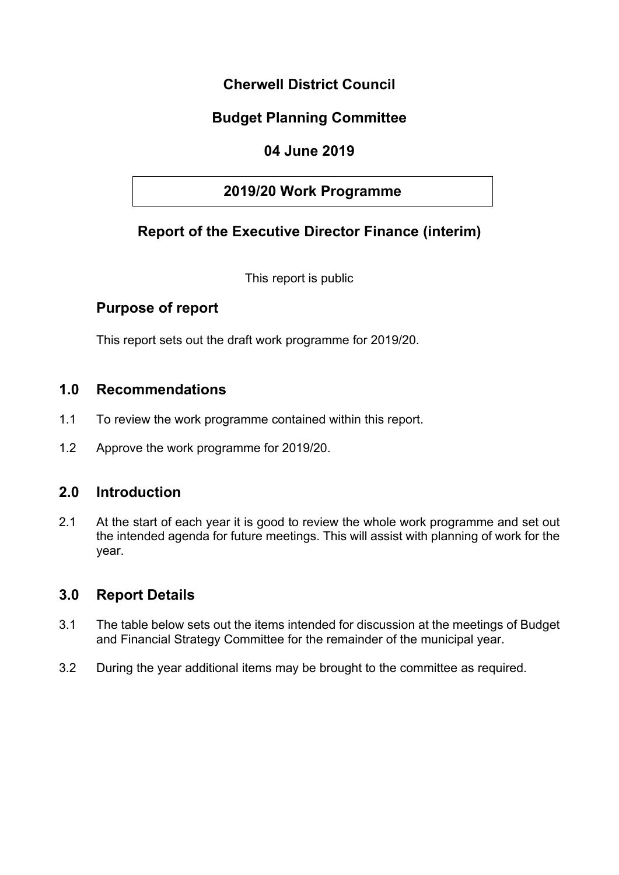## **Cherwell District Council**

# **Budget Planning Committee**

## **04 June 2019**

### **2019/20 Work Programme**

## **Report of the Executive Director Finance (interim)**

This report is public

### **Purpose of report**

This report sets out the draft work programme for 2019/20.

#### **1.0 Recommendations**

- 1.1 To review the work programme contained within this report.
- 1.2 Approve the work programme for 2019/20.

#### **2.0 Introduction**

2.1 At the start of each year it is good to review the whole work programme and set out the intended agenda for future meetings. This will assist with planning of work for the year.

#### **3.0 Report Details**

- 3.1 The table below sets out the items intended for discussion at the meetings of Budget and Financial Strategy Committee for the remainder of the municipal year.
- 3.2 During the year additional items may be brought to the committee as required.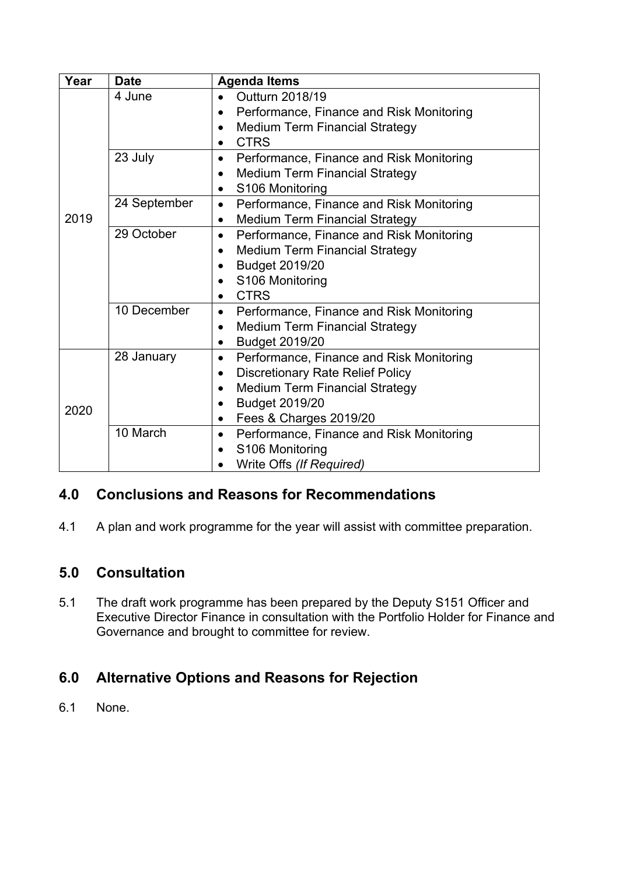| Year | <b>Date</b>  | <b>Agenda Items</b>                                                                                                                                                                                                    |
|------|--------------|------------------------------------------------------------------------------------------------------------------------------------------------------------------------------------------------------------------------|
| 2019 | 4 June       | Outturn 2018/19<br>Performance, Finance and Risk Monitoring<br><b>Medium Term Financial Strategy</b><br>$\bullet$<br><b>CTRS</b><br>$\bullet$                                                                          |
|      | 23 July      | Performance, Finance and Risk Monitoring<br>$\bullet$<br><b>Medium Term Financial Strategy</b><br>$\bullet$<br>S106 Monitoring<br>$\bullet$                                                                            |
|      | 24 September | Performance, Finance and Risk Monitoring<br>$\bullet$<br><b>Medium Term Financial Strategy</b><br>$\bullet$                                                                                                            |
|      | 29 October   | Performance, Finance and Risk Monitoring<br>$\bullet$<br><b>Medium Term Financial Strategy</b><br><b>Budget 2019/20</b><br>S106 Monitoring<br><b>CTRS</b><br>$\bullet$                                                 |
|      | 10 December  | Performance, Finance and Risk Monitoring<br>$\bullet$<br><b>Medium Term Financial Strategy</b><br>$\bullet$<br><b>Budget 2019/20</b><br>$\bullet$                                                                      |
| 2020 | 28 January   | Performance, Finance and Risk Monitoring<br>$\bullet$<br><b>Discretionary Rate Relief Policy</b><br>$\bullet$<br><b>Medium Term Financial Strategy</b><br><b>Budget 2019/20</b><br>Fees & Charges 2019/20<br>$\bullet$ |
|      | 10 March     | Performance, Finance and Risk Monitoring<br>$\bullet$<br>S106 Monitoring<br>$\bullet$<br>Write Offs (If Required)                                                                                                      |

# **4.0 Conclusions and Reasons for Recommendations**

4.1 A plan and work programme for the year will assist with committee preparation.

# **5.0 Consultation**

5.1 The draft work programme has been prepared by the Deputy S151 Officer and Executive Director Finance in consultation with the Portfolio Holder for Finance and Governance and brought to committee for review.

# **6.0 Alternative Options and Reasons for Rejection**

6.1 None.